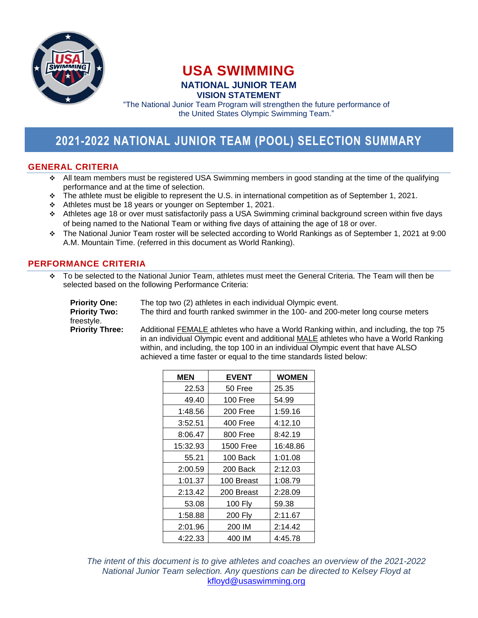

# **USA SWIMMING NATIONAL JUNIOR TEAM VISION STATEMENT**

"The National Junior Team Program will strengthen the future performance of the United States Olympic Swimming Team."

# **2021-2022 NATIONAL JUNIOR TEAM (POOL) SELECTION SUMMARY**

## **GENERAL CRITERIA**

- ❖ All team members must be registered USA Swimming members in good standing at the time of the qualifying performance and at the time of selection.
- ❖ The athlete must be eligible to represent the U.S. in international competition as of September 1, 2021.
- ❖ Athletes must be 18 years or younger on September 1, 2021.
- ❖ Athletes age 18 or over must satisfactorily pass a USA Swimming criminal background screen within five days of being named to the National Team or withing five days of attaining the age of 18 or over.
- ❖ The National Junior Team roster will be selected according to World Rankings as of September 1, 2021 at 9:00 A.M. Mountain Time. (referred in this document as World Ranking).

#### **PERFORMANCE CRITERIA**

❖ To be selected to the National Junior Team, athletes must meet the General Criteria. The Team will then be selected based on the following Performance Criteria:

**Priority One:** The top two (2) athletes in each individual Olympic event. **Priority Two:** The third and fourth ranked swimmer in the 100- and 200-meter long course meters freestyle. **Priority Three:** Additional FEMALE athletes who have a World Ranking within, and including, the top 75

in an individual Olympic event and additional MALE athletes who have a World Ranking within, and including, the top 100 in an individual Olympic event that have ALSO achieved a time faster or equal to the time standards listed below:

| <b>MEN</b> | <b>EVENT</b>     | <b>WOMEN</b> |
|------------|------------------|--------------|
| 22.53      | 50 Free          | 25.35        |
| 49.40      | 100 Free         | 54.99        |
| 1:48.56    | 200 Free         | 1:59.16      |
| 3:52.51    | 400 Free         | 4:12.10      |
| 8:06.47    | 800 Free         | 8:42.19      |
| 15:32.93   | <b>1500 Free</b> | 16:48.86     |
| 55.21      | 100 Back         | 1:01.08      |
| 2:00.59    | 200 Back         | 2:12.03      |
| 1:01.37    | 100 Breast       | 1:08.79      |
| 2:13.42    | 200 Breast       | 2:28.09      |
| 53.08      | 100 Fly          | 59.38        |
| 1:58.88    | 200 Fly          | 2:11.67      |
| 2:01.96    | 200 IM           | 2:14.42      |
| 4:22.33    | 400 IM           | 4:45.78      |

*The intent of this document is to give athletes and coaches an overview of the 2021-2022 National Junior Team selection. Any questions can be directed to Kelsey Floyd at*  [kfloyd@usaswimming.org](mailto:kfloyd@usaswimming.org)